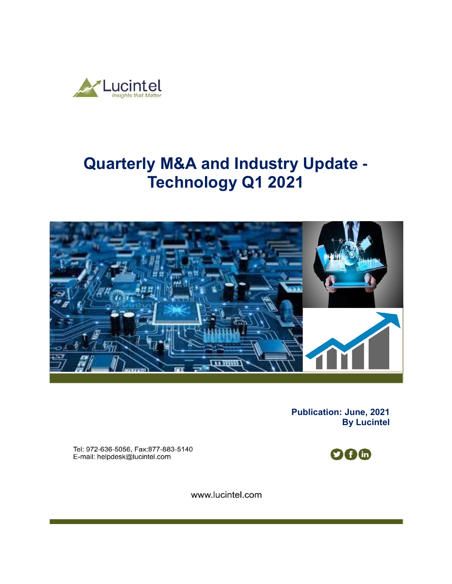

# **Quarterly M&A and Industry Update - Technology Q1 2021**



**Publication: June, 2021 By Lucintel** 

Tel: 972-636-5056, Fax:877-883-5140 E-mail: helpdesk@lucintel.com



www.lucintel.com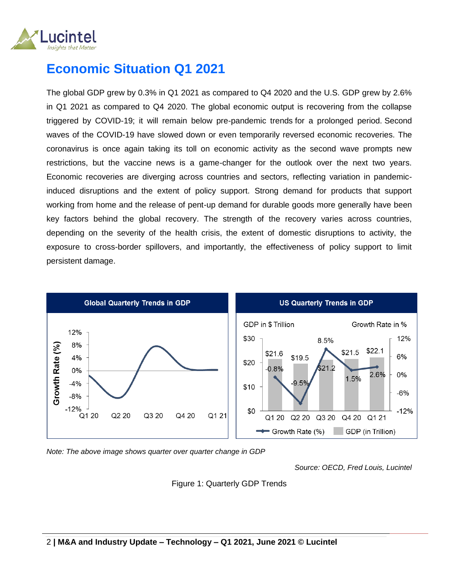

### **Economic Situation Q1 2021**

The global GDP grew by 0.3% in Q1 2021 as compared to Q4 2020 and the U.S. GDP grew by 2.6% in Q1 2021 as compared to Q4 2020. The global economic output is recovering from the collapse triggered by COVID-19; it will remain below pre-pandemic trends for a prolonged period. Second waves of the COVID-19 have slowed down or even temporarily reversed economic recoveries. The coronavirus is once again taking its toll on economic activity as the second wave prompts new restrictions, but the vaccine news is a game-changer for the outlook over the next two years. Economic recoveries are diverging across countries and sectors, reflecting variation in pandemicinduced disruptions and the extent of policy support. Strong demand for products that support working from home and the release of pent-up demand for durable goods more generally have been key factors behind the global recovery. The strength of the recovery varies across countries, depending on the severity of the health crisis, the extent of domestic disruptions to activity, the exposure to cross-border spillovers, and importantly, the effectiveness of policy support to limit persistent damage.



*Note: The above image shows quarter over quarter change in GDP* 

*Source: OECD, Fred Louis, Lucintel*

Figure 1: Quarterly GDP Trends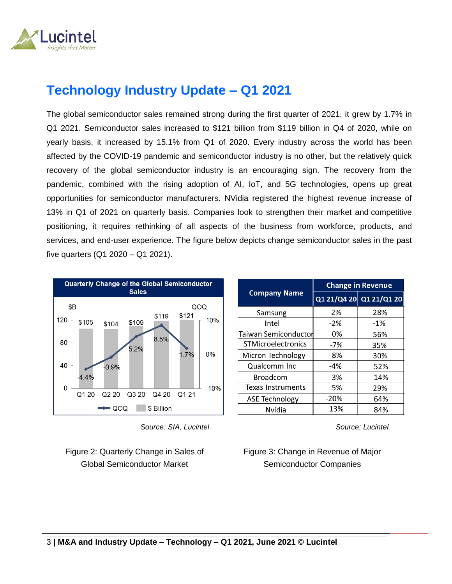

## **Technology Industry Update – Q1 2021**

The global semiconductor sales remained strong during the first quarter of 2021, it grew by 1.7% in Q1 2021. Semiconductor sales increased to \$121 billion from \$119 billion in Q4 of 2020, while on yearly basis, it increased by 15.1% from Q1 of 2020. Every industry across the world has been affected by the COVID-19 pandemic and semiconductor industry is no other, but the relatively quick recovery of the global semiconductor industry is an encouraging sign. The recovery from the pandemic, combined with the rising adoption of AI, IoT, and 5G technologies, opens up great opportunities for semiconductor manufacturers. NVidia registered the highest revenue increase of 13% in Q1 of 2021 on quarterly basis. Companies look to strengthen their market and competitive positioning, it requires rethinking of all aspects of the business from workforce, products, and services, and end-user experience. The figure below depicts change semiconductor sales in the past five quarters (Q1 2020 – Q1 2021).



 *Source: SIA, Lucintel*

Figure 2: Quarterly Change in Sales of Global Semiconductor Market

|                             | <b>Change in Revenue</b> |                         |  |
|-----------------------------|--------------------------|-------------------------|--|
| <b>Company Name</b>         |                          | Q1 21/Q4 20 Q1 21/Q1 20 |  |
| Samsung                     | 2%                       | 28%                     |  |
| Intel                       | $-2%$                    | $-1%$                   |  |
| <b>Taiwan Semiconductor</b> | 0%                       | 56%                     |  |
| <b>STMicroelectronics</b>   | $-7%$                    | 35%                     |  |
| Micron Technology           | 8%                       | 30%                     |  |
| Qualcomm Inc                | -4%                      | 52%                     |  |
| <b>Broadcom</b>             | 3%                       | 14%                     |  |
| Texas Instruments           | 5%                       | 29%                     |  |
| <b>ASE Technology</b>       | $-20%$                   | 64%                     |  |
| Nvidia                      | 13%                      | 84%                     |  |

*Source: Lucintel*

#### Figure 3: Change in Revenue of Major Semiconductor Companies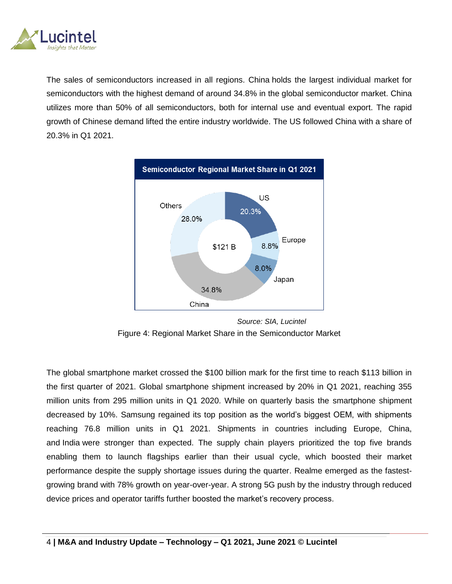

The sales of semiconductors increased in all regions. China holds the largest individual market for semiconductors with the highest demand of around 34.8% in the global semiconductor market. China utilizes more than 50% of all semiconductors, both for internal use and eventual export. The rapid growth of Chinese demand lifted the entire industry worldwide. The US followed China with a share of 20.3% in Q1 2021.



 *Source: SIA, Lucintel* Figure 4: Regional Market Share in the Semiconductor Market

The global smartphone market crossed the \$100 billion mark for the first time to reach \$113 billion in the first quarter of 2021. Global smartphone shipment increased by 20% in Q1 2021, reaching 355 million units from 295 million units in Q1 2020. While on quarterly basis the smartphone shipment decreased by 10%. Samsung regained its top position as the world's biggest OEM, with shipments reaching 76.8 million units in Q1 2021. Shipments in countries including Europe, China, and [India](https://www.counterpointresearch.com/india-smartphone-shipments-q1-2021/) were stronger than expected. The supply chain players prioritized the top five brands enabling them to launch flagships earlier than their usual cycle, which boosted their market performance despite the supply shortage issues during the quarter. Realme emerged as the fastestgrowing brand with 78% growth on year-over-year. A strong 5G push by the industry through reduced device prices and operator tariffs further boosted the market's recovery process.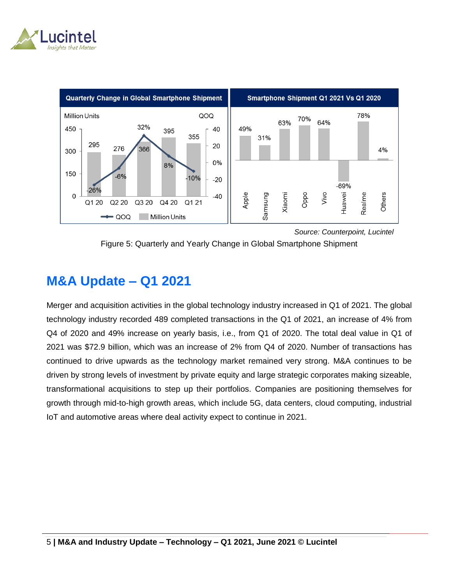



 *Source: Counterpoint, Lucintel*

Figure 5: Quarterly and Yearly Change in Global Smartphone Shipment

### **M&A Update – Q1 2021**

Merger and acquisition activities in the global technology industry increased in Q1 of 2021. The global technology industry recorded 489 completed transactions in the Q1 of 2021, an increase of 4% from Q4 of 2020 and 49% increase on yearly basis, i.e., from Q1 of 2020. The total deal value in Q1 of 2021 was \$72.9 billion, which was an increase of 2% from Q4 of 2020. Number of transactions has continued to drive upwards as the technology market remained very strong. M&A continues to be driven by strong levels of investment by private equity and large strategic corporates making sizeable, transformational acquisitions to step up their portfolios. Companies are positioning themselves for growth through mid-to-high growth areas, which include 5G, data centers, cloud computing, industrial IoT and automotive areas where deal activity expect to continue in 2021.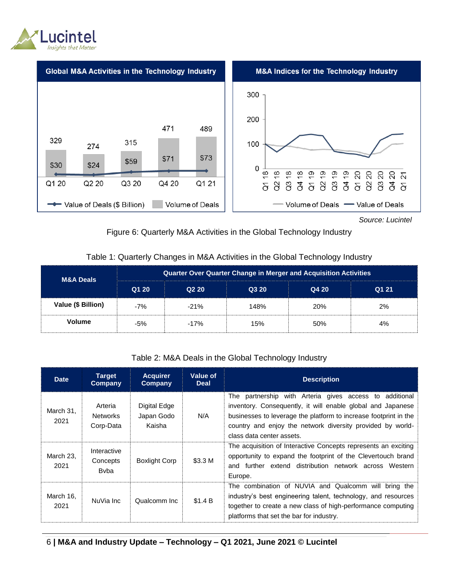



*Source: Lucintel*

#### Figure 6: Quarterly M&A Activities in the Global Technology Industry

#### Table 1: Quarterly Changes in M&A Activities in the Global Technology Industry

| <b>M&amp;A Deals</b> | Quarter Over Quarter Change in Merger and Acquisition Activities |                   |       |       |       |  |
|----------------------|------------------------------------------------------------------|-------------------|-------|-------|-------|--|
|                      | Q1 20                                                            | Q <sub>2</sub> 20 | Q3 20 | Q4 20 | Q1 21 |  |
| Value (\$ Billion)   | $-7%$                                                            | $-21%$            | 148%  | 20%   | 2%    |  |
| <b>Volume</b>        | -5%                                                              | $-17%$            | 15%   | 50%   | 4%    |  |

#### Table 2: M&A Deals in the Global Technology Industry

| <b>Date</b>       | <b>Target</b><br>Company                | <b>Acquirer</b><br>Company           | Value of<br><b>Deal</b> | <b>Description</b>                                                                                                                                                                                                                                                                    |
|-------------------|-----------------------------------------|--------------------------------------|-------------------------|---------------------------------------------------------------------------------------------------------------------------------------------------------------------------------------------------------------------------------------------------------------------------------------|
| March 31,<br>2021 | Arteria<br><b>Networks</b><br>Corp-Data | Digital Edge<br>Japan Godo<br>Kaisha | N/A                     | The partnership with Arteria gives access to additional<br>inventory. Consequently, it will enable global and Japanese<br>businesses to leverage the platform to increase footprint in the<br>country and enjoy the network diversity provided by world-<br>class data center assets. |
| March 23.<br>2021 | Interactive<br>Concepts<br><b>B</b> vba | <b>Boxlight Corp</b>                 | \$3.3 M                 | The acquisition of Interactive Concepts represents an exciting<br>opportunity to expand the footprint of the Clevertouch brand<br>and further extend distribution network across Western<br>Europe.                                                                                   |
| March 16,<br>2021 | NuVia Inc                               | Qualcomm Inc.                        | \$1.4 B                 | The combination of NUVIA and Qualcomm will bring the<br>industry's best engineering talent, technology, and resources<br>together to create a new class of high-performance computing<br>platforms that set the bar for industry.                                                     |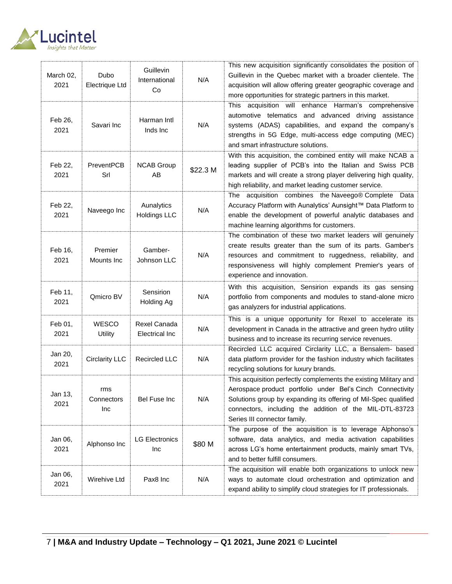

| March 02,<br>2021 | <b>Dubo</b><br><b>Electrique Ltd</b> | Guillevin<br>International<br>Co      | N/A      | This new acquisition significantly consolidates the position of<br>Guillevin in the Quebec market with a broader clientele. The<br>acquisition will allow offering greater geographic coverage and<br>more opportunities for strategic partners in this market.                              |
|-------------------|--------------------------------------|---------------------------------------|----------|----------------------------------------------------------------------------------------------------------------------------------------------------------------------------------------------------------------------------------------------------------------------------------------------|
| Feb 26,<br>2021   | Savari Inc                           | Harman Intl<br>Inds Inc               | N/A      | This acquisition will enhance Harman's comprehensive<br>automotive telematics and advanced driving assistance<br>systems (ADAS) capabilities, and expand the company's<br>strengths in 5G Edge, multi-access edge computing (MEC)<br>and smart infrastructure solutions.                     |
| Feb 22,<br>2021   | PreventPCB<br>Srl                    | <b>NCAB Group</b><br>AB               | \$22.3 M | With this acquisition, the combined entity will make NCAB a<br>leading supplier of PCB's into the Italian and Swiss PCB<br>markets and will create a strong player delivering high quality,<br>high reliability, and market leading customer service.                                        |
| Feb 22,<br>2021   | Naveego Inc                          | Aunalytics<br><b>Holdings LLC</b>     | N/A      | The acquisition combines the Naveego® Complete Data<br>Accuracy Platform with Aunalytics' Aunsight™ Data Platform to<br>enable the development of powerful analytic databases and<br>machine learning algorithms for customers.                                                              |
| Feb 16,<br>2021   | Premier<br>Mounts Inc                | Gamber-<br>Johnson LLC                | N/A      | The combination of these two market leaders will genuinely<br>create results greater than the sum of its parts. Gamber's<br>resources and commitment to ruggedness, reliability, and<br>responsiveness will highly complement Premier's years of<br>experience and innovation.               |
| Feb 11,<br>2021   | Qmicro BV                            | Sensirion<br><b>Holding Ag</b>        | N/A      | With this acquisition, Sensirion expands its gas sensing<br>portfolio from components and modules to stand-alone micro<br>gas analyzers for industrial applications.                                                                                                                         |
| Feb 01,<br>2021   | <b>WESCO</b><br>Utility              | Rexel Canada<br><b>Electrical Inc</b> | N/A      | This is a unique opportunity for Rexel to accelerate its<br>development in Canada in the attractive and green hydro utility<br>business and to increase its recurring service revenues.                                                                                                      |
| Jan 20,<br>2021   | <b>Circlarity LLC</b>                | <b>Recircled LLC</b>                  | N/A      | Recircled LLC acquired Circlarity LLC, a Bensalem- based<br>data platform provider for the fashion industry which facilitates<br>recycling solutions for luxury brands.                                                                                                                      |
| Jan 13,<br>2021   | rms<br>Connectors<br>Inc             | Bel Fuse Inc                          | N/A      | This acquisition perfectly complements the existing Military and<br>Aerospace product portfolio under Bel's Cinch Connectivity<br>Solutions group by expanding its offering of Mil-Spec qualified<br>connectors, including the addition of the MIL-DTL-83723<br>Series III connector family. |
| Jan 06,<br>2021   | Alphonso Inc                         | <b>LG Electronics</b><br>Inc          | \$80 M   | The purpose of the acquisition is to leverage Alphonso's<br>software, data analytics, and media activation capabilities<br>across LG's home entertainment products, mainly smart TVs,<br>and to better fulfill consumers.                                                                    |
| Jan 06,<br>2021   | Wirehive Ltd                         | Pax8 Inc                              | N/A      | The acquisition will enable both organizations to unlock new<br>ways to automate cloud orchestration and optimization and<br>expand ability to simplify cloud strategies for IT professionals.                                                                                               |